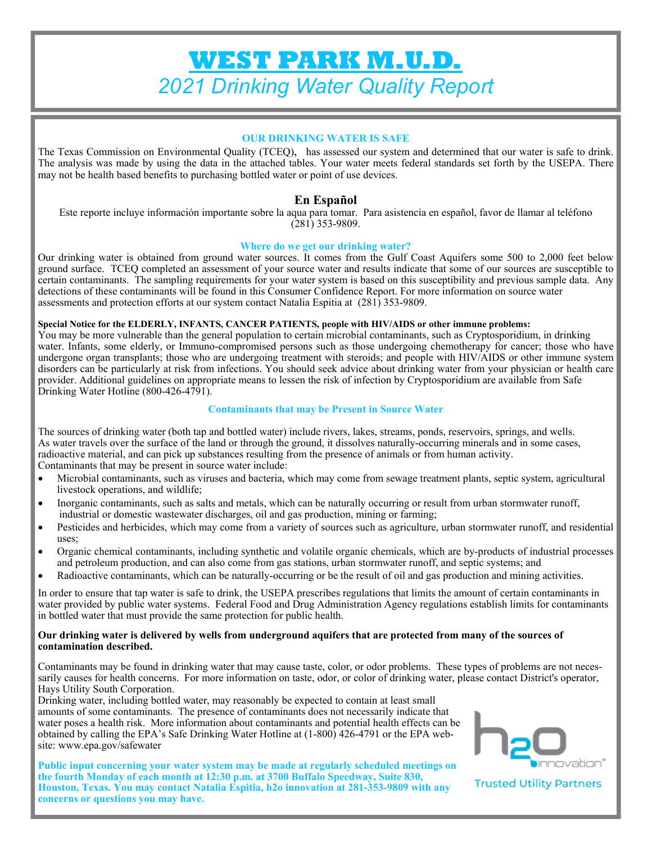# **WEST PARK M.U.D.**  *2021 Drinking Water Quality Report*

#### **OUR DRINKING WATER IS SAFE**

The Texas Commission on Environmental Quality (TCEQ), has assessed our system and determined that our water is safe to drink. The analysis was made by using the data in the attached tables. Your water meets federal standards set forth by the USEPA. There may not be health based benefits to purchasing bottled water or point of use devices.

# **En Español**

Este reporte incluye información importante sobre la aqua para tomar. Para asistencia en español, favor de llamar al teléfono (281) 353-9809.

#### **Where do we get our drinking water?**

Our drinking water is obtained from ground water sources. It comes from the Gulf Coast Aquifers some 500 to 2,000 feet below ground surface. TCEQ completed an assessment of your source water and results indicate that some of our sources are susceptible to certain contaminants. The sampling requirements for your water system is based on this susceptibility and previous sample data. Any detections of these contaminants will be found in this Consumer Confidence Report. For more information on source water assessments and protection efforts at our system contact Natalia Espitia at (281) 353-9809.

#### **Special Notice for the ELDERLY, INFANTS, CANCER PATIENTS, people with HIV/AIDS or other immune problems:**

You may be more vulnerable than the general population to certain microbial contaminants, such as Cryptosporidium, in drinking water. Infants, some elderly, or Immuno-compromised persons such as those undergoing chemotherapy for cancer; those who have undergone organ transplants; those who are undergoing treatment with steroids; and people with HIV/AIDS or other immune system disorders can be particularly at risk from infections. You should seek advice about drinking water from your physician or health care provider. Additional guidelines on appropriate means to lessen the risk of infection by Cryptosporidium are available from Safe Drinking Water Hotline (800-426-4791).

#### **Contaminants that may be Present in Source Water**

The sources of drinking water (both tap and bottled water) include rivers, lakes, streams, ponds, reservoirs, springs, and wells. As water travels over the surface of the land or through the ground, it dissolves naturally-occurring minerals and in some cases, radioactive material, and can pick up substances resulting from the presence of animals or from human activity. Contaminants that may be present in source water include:

- Microbial contaminants, such as viruses and bacteria, which may come from sewage treatment plants, septic system, agricultural livestock operations, and wildlife;
- Inorganic contaminants, such as salts and metals, which can be naturally occurring or result from urban stormwater runoff, industrial or domestic wastewater discharges, oil and gas production, mining or farming;
- Pesticides and herbicides, which may come from a variety of sources such as agriculture, urban stormwater runoff, and residential uses;
- Organic chemical contaminants, including synthetic and volatile organic chemicals, which are by-products of industrial processes and petroleum production, and can also come from gas stations, urban stormwater runoff, and septic systems; and
- Radioactive contaminants, which can be naturally-occurring or be the result of oil and gas production and mining activities.

In order to ensure that tap water is safe to drink, the USEPA prescribes regulations that limits the amount of certain contaminants in water provided by public water systems. Federal Food and Drug Administration Agency regulations establish limits for contaminants in bottled water that must provide the same protection for public health.

#### **Our drinking water is delivered by wells from underground aquifers that are protected from many of the sources of contamination described.**

Contaminants may be found in drinking water that may cause taste, color, or odor problems. These types of problems are not necessarily causes for health concerns. For more information on taste, odor, or color of drinking water, please contact District's operator, Hays Utility South Corporation.

Drinking water, including bottled water, may reasonably be expected to contain at least small amounts of some contaminants. The presence of contaminants does not necessarily indicate that water poses a health risk. More information about contaminants and potential health effects can be obtained by calling the EPA's Safe Drinking Water Hotline at (1-800) 426-4791 or the EPA website: www.epa.gov/safewater

**Public input concerning your water system may be made at regularly scheduled meetings on the fourth Monday of each month at 12:30 p.m. at 3700 Buffalo Speedway, Suite 830, Houston, Texas. You may contact Natalia Espitia, h2o innovation at 281-353-9809 with any concerns or questions you may have.** 



**Trusted Utility Partners**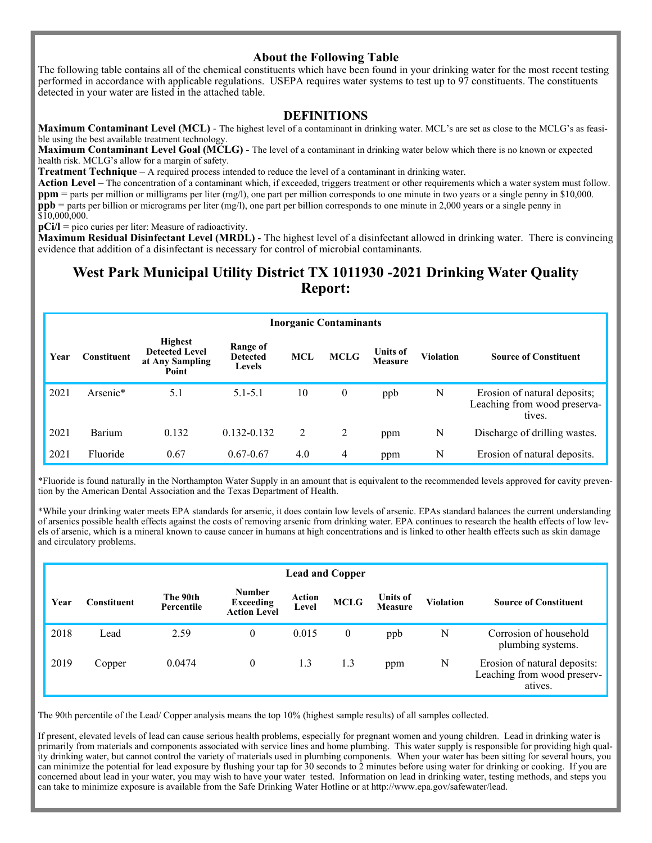## **About the Following Table**

The following table contains all of the chemical constituents which have been found in your drinking water for the most recent testing performed in accordance with applicable regulations. USEPA requires water systems to test up to 97 constituents. The constituents detected in your water are listed in the attached table.

### **DEFINITIONS**

**Maximum Contaminant Level (MCL)** - The highest level of a contaminant in drinking water. MCL's are set as close to the MCLG's as feasible using the best available treatment technology.

**Maximum Contaminant Level Goal (MCLG)** - The level of a contaminant in drinking water below which there is no known or expected health risk. MCLG's allow for a margin of safety.

**Treatment Technique** – A required process intended to reduce the level of a contaminant in drinking water.

Action Level – The concentration of a contaminant which, if exceeded, triggers treatment or other requirements which a water system must follow. **ppm** = parts per million or milligrams per liter (mg/l), one part per million corresponds to one minute in two years or a single penny in \$10,000. **ppb** = parts per billion or micrograms per liter (mg/l), one part per billion corresponds to one minute in 2,000 years or a single penny in  $$10,000,000.$ 

**pCi/l** = pico curies per liter: Measure of radioactivity.

**Maximum Residual Disinfectant Level (MRDL)** - The highest level of a disinfectant allowed in drinking water. There is convincing evidence that addition of a disinfectant is necessary for control of microbial contaminants.

# **West Park Municipal Utility District TX 1011930 -2021 Drinking Water Quality Report:**

|      | <b>Inorganic Contaminants</b> |                                                                     |                                       |     |             |                            |           |                                                                        |  |  |  |  |
|------|-------------------------------|---------------------------------------------------------------------|---------------------------------------|-----|-------------|----------------------------|-----------|------------------------------------------------------------------------|--|--|--|--|
| Year | Constituent                   | <b>Highest</b><br><b>Detected Level</b><br>at Any Sampling<br>Point | Range of<br><b>Detected</b><br>Levels | MCL | <b>MCLG</b> | <b>Units of</b><br>Measure | Violation | <b>Source of Constituent</b>                                           |  |  |  |  |
| 2021 | Arsenic*                      | 5.1                                                                 | $5.1 - 5.1$                           | 10  | 0           | ppb                        | N         | Erosion of natural deposits;<br>Leaching from wood preserva-<br>tives. |  |  |  |  |
| 2021 | Barium                        | 0.132                                                               | 0.132-0.132                           | 2   | 2           | ppm                        | N         | Discharge of drilling wastes.                                          |  |  |  |  |
| 2021 | Fluoride                      | 0.67                                                                | $0.67 - 0.67$                         | 4.0 | 4           | ppm                        | N         | Erosion of natural deposits.                                           |  |  |  |  |

\*Fluoride is found naturally in the Northampton Water Supply in an amount that is equivalent to the recommended levels approved for cavity prevention by the American Dental Association and the Texas Department of Health.

\*While your drinking water meets EPA standards for arsenic, it does contain low levels of arsenic. EPAs standard balances the current understanding of arsenics possible health effects against the costs of removing arsenic from drinking water. EPA continues to research the health effects of low levels of arsenic, which is a mineral known to cause cancer in humans at high concentrations and is linked to other health effects such as skin damage and circulatory problems.

|      | <b>Lead and Copper</b> |                        |                                                          |                        |             |                                   |                  |                                                                        |  |  |  |  |
|------|------------------------|------------------------|----------------------------------------------------------|------------------------|-------------|-----------------------------------|------------------|------------------------------------------------------------------------|--|--|--|--|
| Year | Constituent            | The 90th<br>Percentile | <b>Number</b><br><b>Exceeding</b><br><b>Action Level</b> | <b>Action</b><br>Level | <b>MCLG</b> | <b>Units of</b><br><b>Measure</b> | <b>Violation</b> | <b>Source of Constituent</b>                                           |  |  |  |  |
| 2018 | Lead                   | 2.59                   | 0                                                        | 0.015                  | $\theta$    | ppb                               | N                | Corrosion of household<br>plumbing systems.                            |  |  |  |  |
| 2019 | Copper                 | 0.0474                 | 0                                                        | 1.3                    | 1.3         | ppm                               | N                | Erosion of natural deposits:<br>Leaching from wood preserv-<br>atives. |  |  |  |  |

The 90th percentile of the Lead/ Copper analysis means the top 10% (highest sample results) of all samples collected.

If present, elevated levels of lead can cause serious health problems, especially for pregnant women and young children. Lead in drinking water is primarily from materials and components associated with service lines and home plumbing. This water supply is responsible for providing high quality drinking water, but cannot control the variety of materials used in plumbing components. When your water has been sitting for several hours, you can minimize the potential for lead exposure by flushing your tap for 30 seconds to 2 minutes before using water for drinking or cooking. If you are concerned about lead in your water, you may wish to have your water tested. Information on lead in drinking water, testing methods, and steps you can take to minimize exposure is available from the Safe Drinking Water Hotline or at http://www.epa.gov/safewater/lead.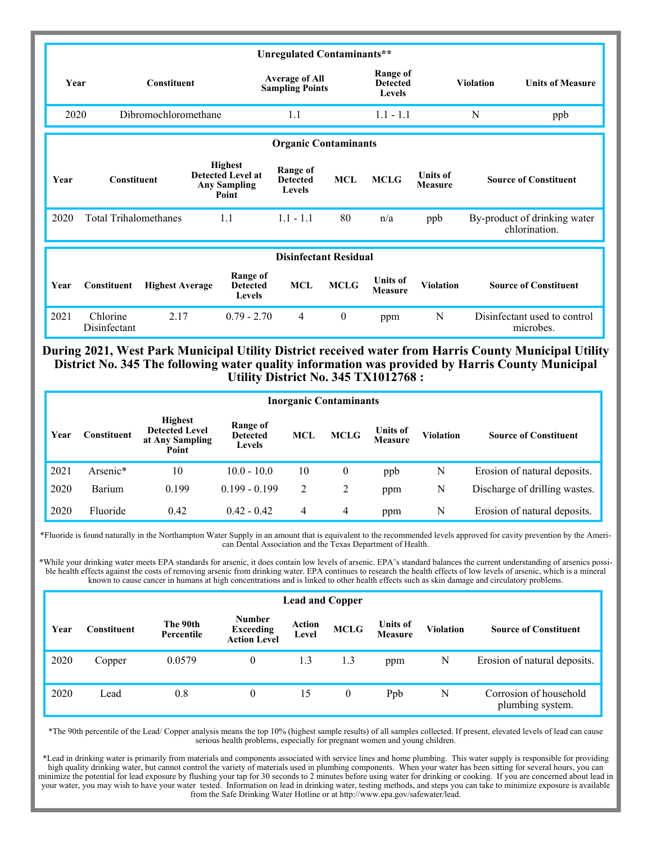| Unregulated Contaminants** |                              |                                                 |                                                                            |                                                            |                                              |                                   |                                   |                         |                                               |  |
|----------------------------|------------------------------|-------------------------------------------------|----------------------------------------------------------------------------|------------------------------------------------------------|----------------------------------------------|-----------------------------------|-----------------------------------|-------------------------|-----------------------------------------------|--|
| <b>Constituent</b><br>Year |                              | <b>Average of All</b><br><b>Sampling Points</b> |                                                                            |                                                            | <b>Range of</b><br><b>Detected</b><br>Levels |                                   | <b>Violation</b>                  | <b>Units of Measure</b> |                                               |  |
|                            | 2020<br>Dibromochloromethane |                                                 |                                                                            | 1.1                                                        |                                              |                                   | $1.1 - 1.1$                       |                         | ppb                                           |  |
|                            |                              |                                                 |                                                                            |                                                            |                                              |                                   |                                   |                         |                                               |  |
|                            |                              |                                                 |                                                                            |                                                            | <b>Organic Contaminants</b>                  |                                   |                                   |                         |                                               |  |
| Year                       | <b>Constituent</b>           |                                                 | <b>Highest</b><br><b>Detected Level at</b><br><b>Any Sampling</b><br>Point | <b>Range of</b><br><b>MCL</b><br><b>Detected</b><br>Levels |                                              | <b>MCLG</b>                       | <b>Units of</b><br><b>Measure</b> |                         | <b>Source of Constituent</b>                  |  |
| 2020                       |                              | <b>Total Trihalomethanes</b><br>1.1             |                                                                            | $1.1 - 1.1$                                                | 80                                           | n/a                               | ppb                               |                         | By-product of drinking water<br>chlorination. |  |
|                            | <b>Disinfectant Residual</b> |                                                 |                                                                            |                                                            |                                              |                                   |                                   |                         |                                               |  |
| Year                       | Constituent                  | <b>Highest Average</b>                          | <b>Range of</b><br><b>Detected</b><br>Levels                               | <b>MCL</b>                                                 | <b>MCLG</b>                                  | <b>Units of</b><br><b>Measure</b> | <b>Violation</b>                  |                         | <b>Source of Constituent</b>                  |  |
| 2021                       | Chlorine<br>Disinfectant     | 2.17                                            | $0.79 - 2.70$                                                              | $\overline{4}$                                             | $\theta$                                     | ppm                               | N                                 |                         | Disinfectant used to control<br>microbes.     |  |

**During 2021, West Park Municipal Utility District received water from Harris County Municipal Utility District No. 345 The following water quality information was provided by Harris County Municipal Utility District No. 345 TX1012768 :**

| <b>Inorganic Contaminants</b> |             |                                                                     |                                       |            |             |                            |                  |                               |  |  |
|-------------------------------|-------------|---------------------------------------------------------------------|---------------------------------------|------------|-------------|----------------------------|------------------|-------------------------------|--|--|
| Year                          | Constituent | <b>Highest</b><br><b>Detected Level</b><br>at Any Sampling<br>Point | Range of<br><b>Detected</b><br>Levels | <b>MCL</b> | <b>MCLG</b> | <b>Units of</b><br>Measure | <b>Violation</b> | <b>Source of Constituent</b>  |  |  |
| 2021                          | Arsenic*    | 10                                                                  | $10.0 - 10.0$                         | 10         | 0           | ppb                        | N                | Erosion of natural deposits.  |  |  |
| 2020                          | Barium      | 0.199                                                               | $0.199 - 0.199$                       | 2          | 2           | ppm                        | N                | Discharge of drilling wastes. |  |  |
| 2020                          | Fluoride    | 0.42                                                                | $0.42 - 0.42$                         | 4          | 4           | ppm                        | N                | Erosion of natural deposits.  |  |  |

\*Fluoride is found naturally in the Northampton Water Supply in an amount that is equivalent to the recommended levels approved for cavity prevention by the American Dental Association and the Texas Department of Health.

\*While your drinking water meets EPA standards for arsenic, it does contain low levels of arsenic. EPA's standard balances the current understanding of arsenics possible health effects against the costs of removing arsenic from drinking water. EPA continues to research the health effects of low levels of arsenic, which is a mineral known to cause cancer in humans at high concentrations and is linked to other health effects such as skin damage and circulatory problems.

|      | <b>Lead and Copper</b> |                        |                                                          |                 |             |                                   |                  |                                            |  |  |  |
|------|------------------------|------------------------|----------------------------------------------------------|-----------------|-------------|-----------------------------------|------------------|--------------------------------------------|--|--|--|
| Year | ∑onstituent            | The 90th<br>Percentile | <b>Number</b><br><b>Exceeding</b><br><b>Action Level</b> | Action<br>Level | <b>MCLG</b> | <b>Units of</b><br><b>Measure</b> | <b>Violation</b> | <b>Source of Constituent</b>               |  |  |  |
| 2020 | Copper                 | 0.0579                 | $\theta$                                                 | 1.3             | 1.3         | ppm                               | N                | Erosion of natural deposits.               |  |  |  |
| 2020 | Lead                   | 0.8                    | 0                                                        | 15              | 0           | Ppb                               | N                | Corrosion of household<br>plumbing system. |  |  |  |

\*The 90th percentile of the Lead/ Copper analysis means the top 10% (highest sample results) of all samples collected. If present, elevated levels of lead can cause serious health problems, especially for pregnant women and young children.

\*Lead in drinking water is primarily from materials and components associated with service lines and home plumbing. This water supply is responsible for providing high quality drinking water, but cannot control the variety of materials used in plumbing components. When your water has been sitting for several hours, you can minimize the potential for lead exposure by flushing your tap for 30 seconds to 2 minutes before using water for drinking or cooking. If you are concerned about lead in your water, you may wish to have your water tested. Information on lead in drinking water, testing methods, and steps you can take to minimize exposure is available from the Safe Drinking Water Hotline or at http://www.epa.gov/safewater/lead.